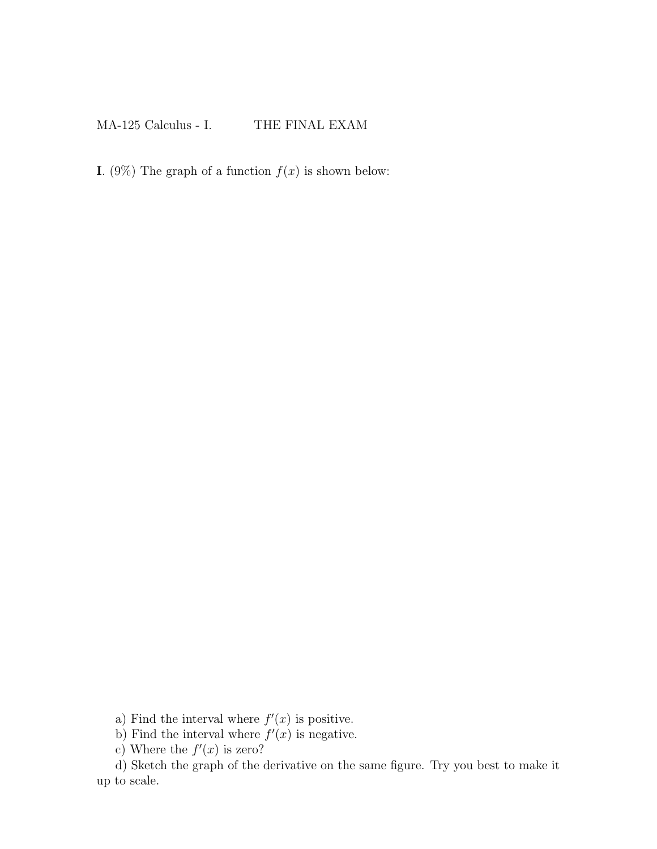## MA-125 Calculus - I. THE FINAL EXAM

I. (9%) The graph of a function  $f(x)$  is shown below:

a) Find the interval where  $f'(x)$  is positive.

b) Find the interval where  $f'(x)$  is negative.

c) Where the  $f'(x)$  is zero?

d) Sketch the graph of the derivative on the same figure. Try you best to make it up to scale.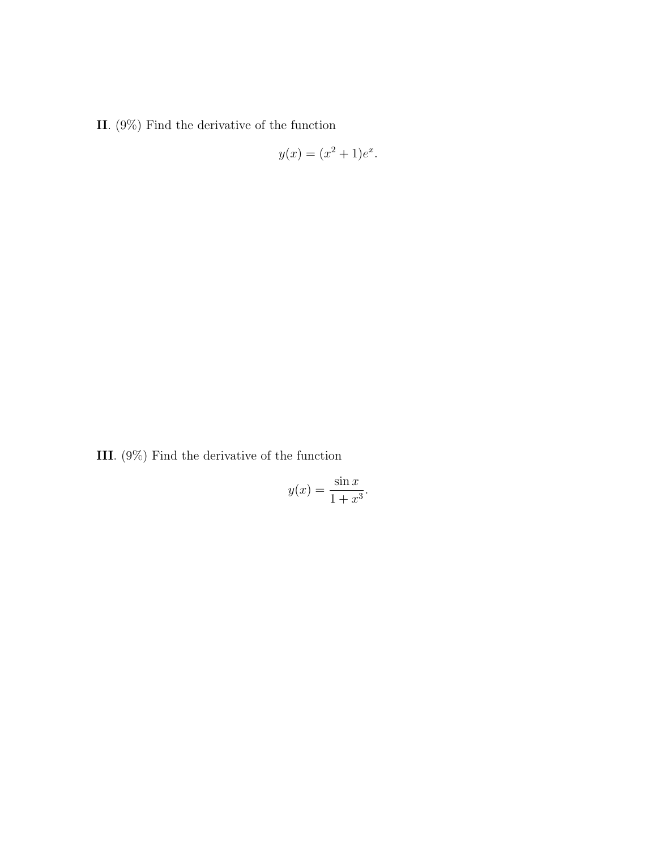II. (9%) Find the derivative of the function

$$
y(x) = (x^2 + 1)e^x.
$$

III. (9%) Find the derivative of the function

$$
y(x) = \frac{\sin x}{1 + x^3}.
$$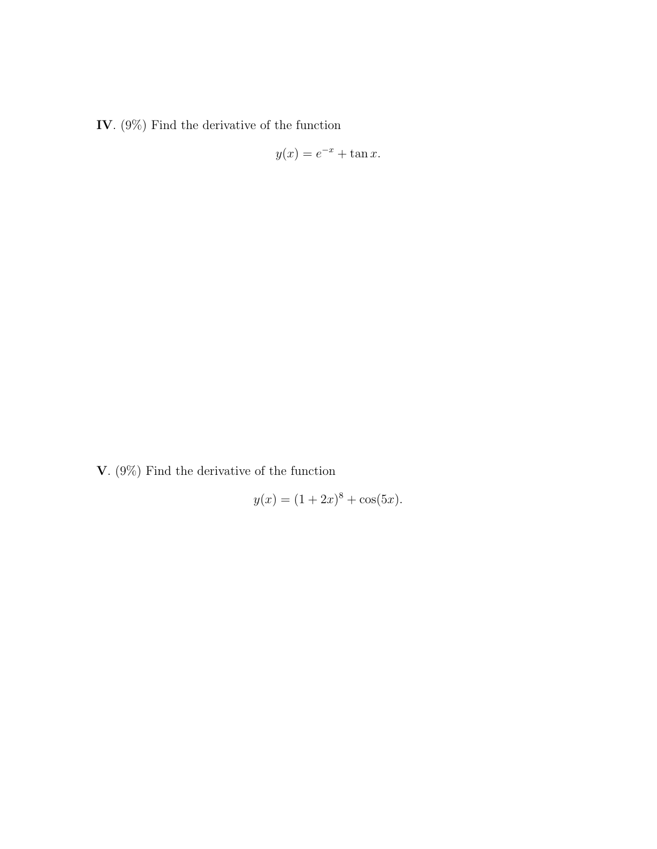IV. (9%) Find the derivative of the function

$$
y(x) = e^{-x} + \tan x.
$$

V. (9%) Find the derivative of the function

$$
y(x) = (1 + 2x)^8 + \cos(5x).
$$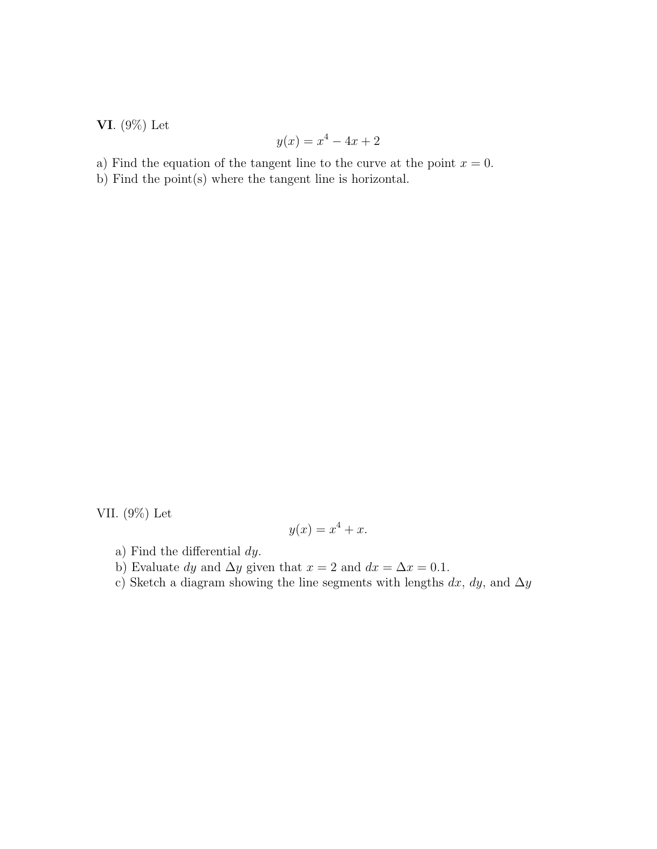VI. (9%) Let

$$
y(x) = x^4 - 4x + 2
$$

a) Find the equation of the tangent line to the curve at the point  $x = 0$ .

b) Find the point(s) where the tangent line is horizontal.

VII. (9%) Let

$$
y(x) = x^4 + x.
$$

- a) Find the differential dy.
- b) Evaluate dy and  $\Delta y$  given that  $x = 2$  and  $dx = \Delta x = 0.1$ .
- c) Sketch a diagram showing the line segments with lengths  $dx$ ,  $dy$ , and  $\Delta y$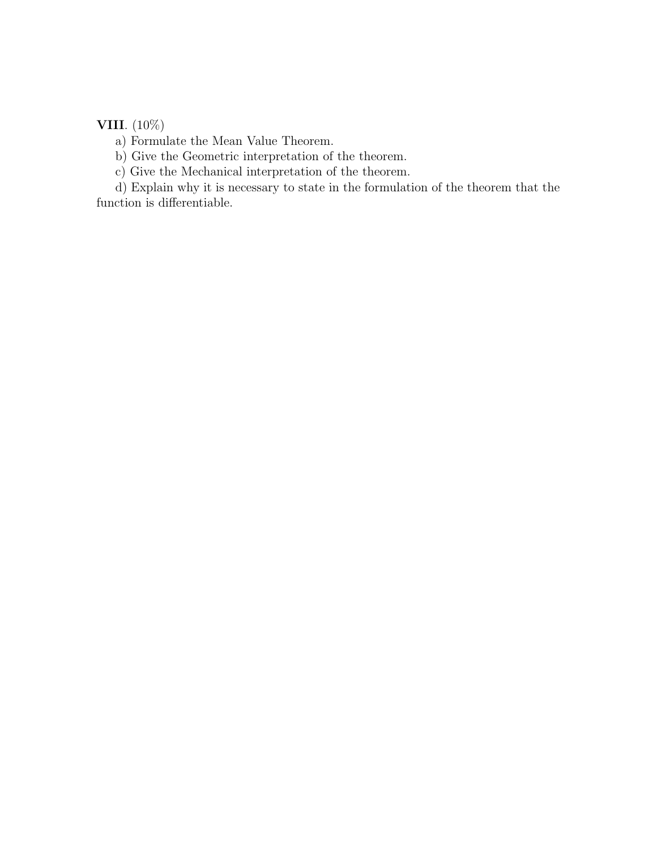## VIII. (10%)

a) Formulate the Mean Value Theorem.

b) Give the Geometric interpretation of the theorem.

c) Give the Mechanical interpretation of the theorem.

d) Explain why it is necessary to state in the formulation of the theorem that the function is differentiable.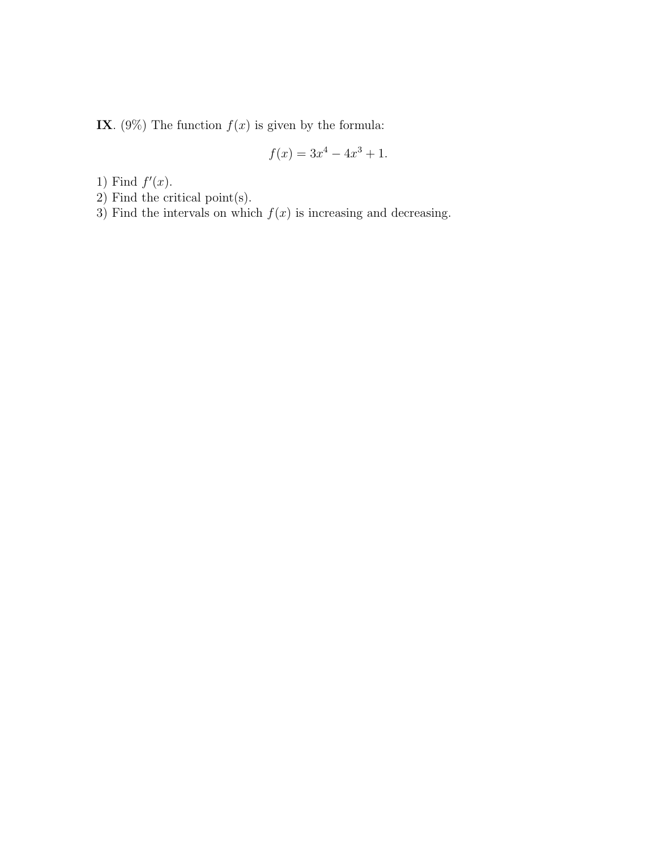IX. (9%) The function  $f(x)$  is given by the formula:

$$
f(x) = 3x^4 - 4x^3 + 1.
$$

1) Find  $f'(x)$ .

- 2) Find the critical point(s).
- 3) Find the intervals on which  $f(x)$  is increasing and decreasing.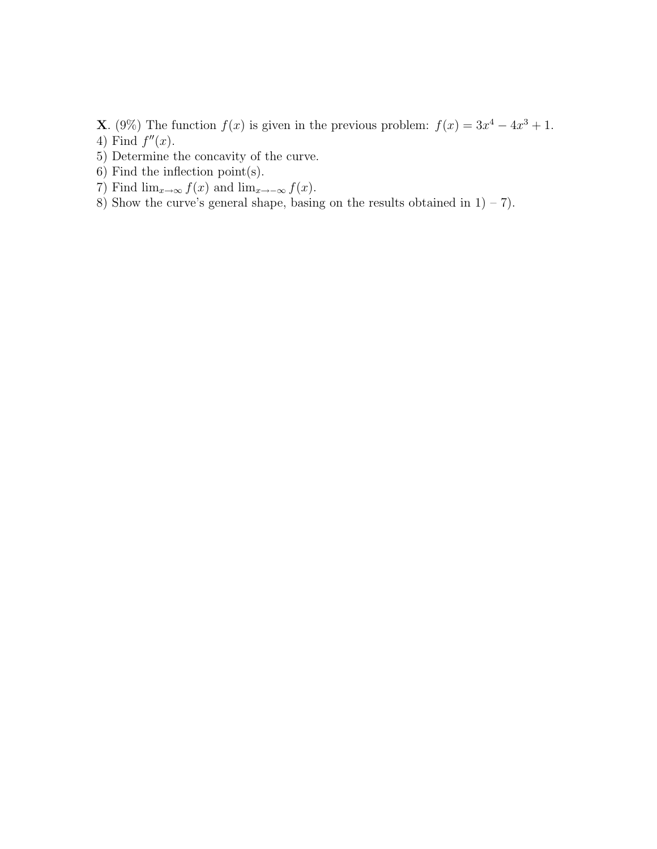- **X**. (9%) The function  $f(x)$  is given in the previous problem:  $f(x) = 3x^4 4x^3 + 1$ . 4) Find  $f''(x)$ .
- 5) Determine the concavity of the curve.
- 6) Find the inflection point(s).
- 7) Find  $\lim_{x\to\infty} f(x)$  and  $\lim_{x\to-\infty} f(x)$ .
- 8) Show the curve's general shape, basing on the results obtained in  $1 7$ .